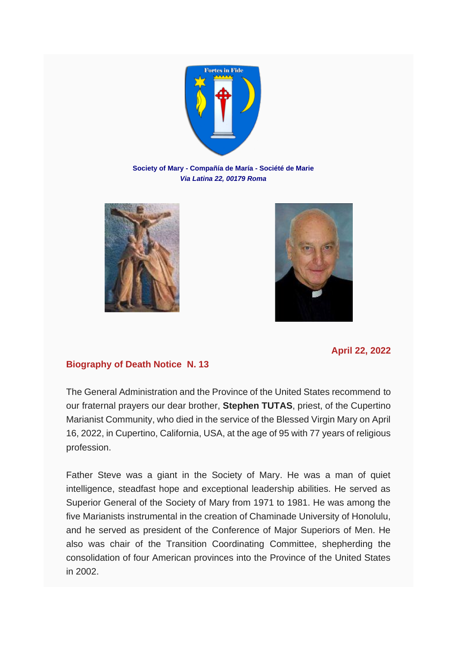

**Society of Mary - Compañía de María - Société de Marie** *Via Latina 22, 00179 Roma*





## **April 22, 2022**

## **Biography of Death Notice N. 13**

The General Administration and the Province of the United States recommend to our fraternal prayers our dear brother, **Stephen TUTAS**, priest, of the Cupertino Marianist Community, who died in the service of the Blessed Virgin Mary on April 16, 2022, in Cupertino, California, USA, at the age of 95 with 77 years of religious profession.

Father Steve was a giant in the Society of Mary. He was a man of quiet intelligence, steadfast hope and exceptional leadership abilities. He served as Superior General of the Society of Mary from 1971 to 1981. He was among the five Marianists instrumental in the creation of Chaminade University of Honolulu, and he served as president of the Conference of Major Superiors of Men. He also was chair of the Transition Coordinating Committee, shepherding the consolidation of four American provinces into the Province of the United States in 2002.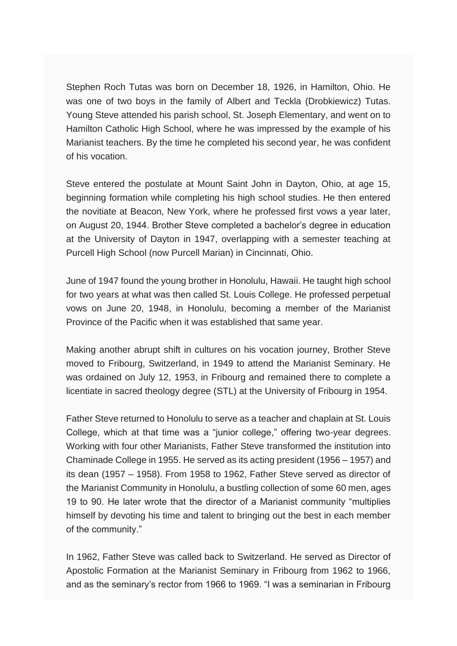Stephen Roch Tutas was born on December 18, 1926, in Hamilton, Ohio. He was one of two boys in the family of Albert and Teckla (Drobkiewicz) Tutas. Young Steve attended his parish school, St. Joseph Elementary, and went on to Hamilton Catholic High School, where he was impressed by the example of his Marianist teachers. By the time he completed his second year, he was confident of his vocation.

Steve entered the postulate at Mount Saint John in Dayton, Ohio, at age 15, beginning formation while completing his high school studies. He then entered the novitiate at Beacon, New York, where he professed first vows a year later, on August 20, 1944. Brother Steve completed a bachelor's degree in education at the University of Dayton in 1947, overlapping with a semester teaching at Purcell High School (now Purcell Marian) in Cincinnati, Ohio.

June of 1947 found the young brother in Honolulu, Hawaii. He taught high school for two years at what was then called St. Louis College. He professed perpetual vows on June 20, 1948, in Honolulu, becoming a member of the Marianist Province of the Pacific when it was established that same year.

Making another abrupt shift in cultures on his vocation journey, Brother Steve moved to Fribourg, Switzerland, in 1949 to attend the Marianist Seminary. He was ordained on July 12, 1953, in Fribourg and remained there to complete a licentiate in sacred theology degree (STL) at the University of Fribourg in 1954.

Father Steve returned to Honolulu to serve as a teacher and chaplain at St. Louis College, which at that time was a "junior college," offering two-year degrees. Working with four other Marianists, Father Steve transformed the institution into Chaminade College in 1955. He served as its acting president (1956 – 1957) and its dean (1957 – 1958). From 1958 to 1962, Father Steve served as director of the Marianist Community in Honolulu, a bustling collection of some 60 men, ages 19 to 90. He later wrote that the director of a Marianist community "multiplies himself by devoting his time and talent to bringing out the best in each member of the community."

In 1962, Father Steve was called back to Switzerland. He served as Director of Apostolic Formation at the Marianist Seminary in Fribourg from 1962 to 1966, and as the seminary's rector from 1966 to 1969. "I was a seminarian in Fribourg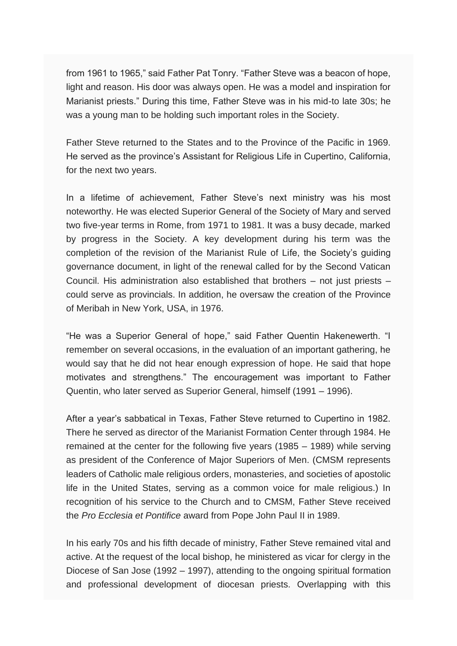from 1961 to 1965," said Father Pat Tonry. "Father Steve was a beacon of hope, light and reason. His door was always open. He was a model and inspiration for Marianist priests." During this time, Father Steve was in his mid-to late 30s; he was a young man to be holding such important roles in the Society.

Father Steve returned to the States and to the Province of the Pacific in 1969. He served as the province's Assistant for Religious Life in Cupertino, California, for the next two years.

In a lifetime of achievement, Father Steve's next ministry was his most noteworthy. He was elected Superior General of the Society of Mary and served two five-year terms in Rome, from 1971 to 1981. It was a busy decade, marked by progress in the Society. A key development during his term was the completion of the revision of the Marianist Rule of Life, the Society's guiding governance document, in light of the renewal called for by the Second Vatican Council. His administration also established that brothers – not just priests – could serve as provincials. In addition, he oversaw the creation of the Province of Meribah in New York, USA, in 1976.

"He was a Superior General of hope," said Father Quentin Hakenewerth. "I remember on several occasions, in the evaluation of an important gathering, he would say that he did not hear enough expression of hope. He said that hope motivates and strengthens." The encouragement was important to Father Quentin, who later served as Superior General, himself (1991 – 1996).

After a year's sabbatical in Texas, Father Steve returned to Cupertino in 1982. There he served as director of the Marianist Formation Center through 1984. He remained at the center for the following five years (1985 – 1989) while serving as president of the Conference of Major Superiors of Men. (CMSM represents leaders of Catholic male religious orders, monasteries, and societies of apostolic life in the United States, serving as a common voice for male religious.) In recognition of his service to the Church and to CMSM, Father Steve received the *Pro Ecclesia et Pontifice* award from Pope John Paul II in 1989.

In his early 70s and his fifth decade of ministry, Father Steve remained vital and active. At the request of the local bishop, he ministered as vicar for clergy in the Diocese of San Jose (1992 – 1997), attending to the ongoing spiritual formation and professional development of diocesan priests. Overlapping with this